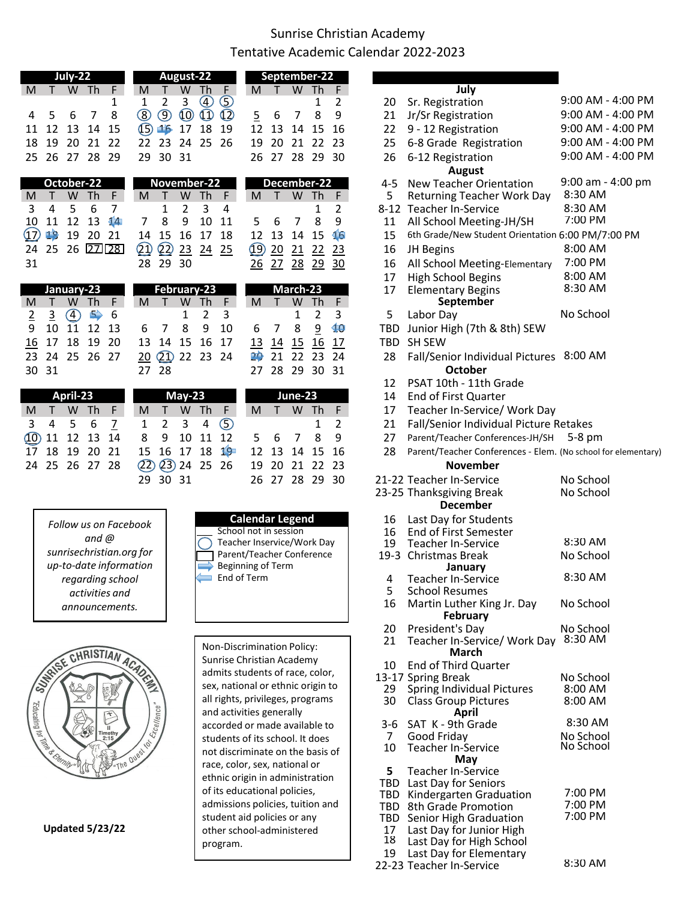## Sunrise Christian Academy Tentative Academic Calendar 2022-2023

| July-22                  |          |               |               |                     |                     | September-22  |                |                         |                    |           |           |           |                 |                 |  |          |                                                   |                       |
|--------------------------|----------|---------------|---------------|---------------------|---------------------|---------------|----------------|-------------------------|--------------------|-----------|-----------|-----------|-----------------|-----------------|--|----------|---------------------------------------------------|-----------------------|
| M                        |          | W             | <b>Th</b>     | F                   | M                   |               | W              | Th                      | F                  | M         |           | W         | - Th            | F.              |  |          | July                                              |                       |
|                          |          |               |               | 1                   | 1                   | 2             | 3              | $\overline{\mathbb{A}}$ | $\odot$            |           |           |           |                 | 2               |  | 20       | Sr. Registration                                  | 9:00 AM - 4:00 PM     |
| 4                        | 5        | 6             | 7             | 8                   | $^\circledR$        | ⑨             | $\circledcirc$ | $\bigcirc$              | $\circled{2}$      | 5         | 6         | 7         | 8               | 9               |  | 21       | Jr/Sr Registration                                | 9:00 AM - 4:00 PM     |
| 11                       | 12       | 13            | 14            | 15                  | $\mathbb{O}$        | 16            | 17             | 18                      | 19                 | 12        | 13        | 14        | 15              | 16              |  | 22       | 9 - 12 Registration                               | 9:00 AM - 4:00 PM     |
| 18                       | 19       | 20            | 21            | 22                  | 22                  | 23            | 24             | 25                      | 26                 | 19        | 20        | 21        | 22              | 23              |  | 25       | 6-8 Grade Registration                            | 9:00 AM - 4:00 PM     |
|                          | 25 26    | 27            | 28            | 29                  | 29                  | 30            | 31             |                         |                    | 26        | 27        | 28        | 29              | 30              |  | 26       | 6-12 Registration                                 | 9:00 AM - 4:00 PM     |
|                          |          |               |               |                     |                     |               |                |                         |                    |           |           |           |                 |                 |  |          | <b>August</b>                                     |                       |
|                          |          | October-22    |               |                     |                     | November-22   |                |                         |                    |           |           |           | December-22     |                 |  | $4 - 5$  | New Teacher Orientation                           | $9:00$ am - $4:00$ pm |
| M                        |          | W             | Th            | F.                  | M                   |               | W              | Th                      | F                  | M         |           | W         | Th              | F               |  | 5        | <b>Returning Teacher Work Day</b>                 | 8:30 AM               |
| 3                        | 4        | 5             | 6             | 7                   |                     | 1             | 2              | 3                       | 4                  |           |           |           | 1               | 2               |  | $8 - 12$ | <b>Teacher In-Service</b>                         | 8:30 AM               |
| 10                       | 11       | 12            | 13            | $\sqrt{\mathbf{4}}$ | 7                   | 8             | 9              | 10                      | 11                 | 5.        | 6         | 7         | 8               | 9               |  | 11       | All School Meeting-JH/SH                          | 7:00 PM               |
| <u>17)</u>               | 18       | 19            | 20            | 21                  | 14                  | 15            | 16             | 17                      | 18                 | 12        | 13        | 14        | 15              | $\overline{16}$ |  | 15       | 6th Grade/New Student Orientation 6:00 PM/7:00 PM |                       |
| 24                       | 25       | 26            |               | $22$ $28$           | $\bm{\mathfrak{D}}$ | $\Omega$      | 23             | 24                      | 25                 | (19)      | 20        | 21        | 22              | 23              |  | 16       | JH Begins                                         | 8:00 AM               |
| 31                       |          |               |               |                     | 28                  | 29            | 30             |                         |                    | 26        | 27        | 28        | $\overline{29}$ | $\overline{30}$ |  | 16       | All School Meeting-Elementary                     | 7:00 PM               |
|                          |          |               |               |                     |                     |               |                |                         |                    |           |           |           |                 |                 |  | 17       | <b>High School Begins</b>                         | 8:00 AM               |
|                          |          | January-23    |               |                     |                     | February-23   |                |                         |                    |           |           | March-23  |                 |                 |  | 17       | <b>Elementary Begins</b>                          | 8:30 AM               |
| M                        |          | W             | Th            | F.                  | M                   |               | W              | Th                      | F                  | M         |           | W         | Th              | F.              |  |          | September                                         |                       |
| $\overline{2}$           | <u>3</u> | $\circledast$ | $\Rightarrow$ | 6                   |                     |               |                | 2                       | 3                  |           |           | 1         | 2               | 3               |  | 5        | Labor Day                                         | No School             |
| 9                        | 10       | 11            | 12            | 13                  | 6                   |               | 8              | 9                       | 10                 | 6         |           | 8         | 9               | 10              |  | TBD      | Junior High (7th & 8th) SEW                       |                       |
| <u> 16</u>               | 17       | 18            | 19            | 20                  | 13                  | 14            | 15             | 16                      | 17                 | <u>13</u> | <u>14</u> | <u>15</u> | <u>16</u>       | 17              |  | TBD      | <b>SH SEW</b>                                     |                       |
| 23                       | 24       | 25            | 26            | 27                  | 20                  | $\circled{2}$ | 22             | 23                      | 24                 | 20        | 21        | 22        | 23              | 24              |  | 28       | Fall/Senior Individual Pictures 8:00 AM           |                       |
| 30                       | 31       |               |               |                     | 27                  | 28            |                |                         |                    | 27        | 28        | 29        | 30              | 31              |  |          | October                                           |                       |
|                          |          |               |               |                     |                     |               |                |                         |                    |           |           |           |                 |                 |  | 12       | PSAT 10th - 11th Grade                            |                       |
|                          |          | April-23      |               |                     |                     |               | $May-23$       |                         |                    |           |           | June-23   |                 |                 |  | 14       | End of First Quarter                              |                       |
| M                        |          | w             | Th            | F                   | M                   |               | W              | Th                      | F                  | M         |           | W         | Th              | F               |  | 17       | Teacher In-Service/ Work Day                      |                       |
| $\overline{\phantom{0}}$ |          |               | $\sqrt{2}$    |                     |                     |               |                |                         | $\curvearrowright$ |           |           |           |                 |                 |  |          | Fall (Cantan Individual Bistone, Bataloga         |                       |

|                | 10 T\ 10 TA 70 |          |             |                |                | 12 14 12 10 1) |          |        |                        | T2.            |       |         | 14 12 10 1)            |            |    | IBU SH SEW                                                       |
|----------------|----------------|----------|-------------|----------------|----------------|----------------|----------|--------|------------------------|----------------|-------|---------|------------------------|------------|----|------------------------------------------------------------------|
|                |                |          |             | 23 24 25 26 27 |                |                |          |        | 20 21 22 23 24         |                |       |         | 20 21 22 23 24         |            |    | 28 Fall/Senior Individual Pictures 8:00 AM                       |
| 30 31          |                |          |             |                |                | 27 28          |          |        |                        |                |       |         | 27 28 29 30 31         |            |    | October                                                          |
|                |                |          |             |                |                |                |          |        |                        |                |       |         |                        |            |    | 12 PSAT 10th - 11th Grade                                        |
|                |                | April-23 |             |                |                |                | $May-23$ |        |                        |                |       | June-23 |                        |            |    | 14 End of First Quarter                                          |
| M              | Æ              |          | W Th F      |                | M              |                |          | W Th F |                        | M              |       |         | W Th F                 |            |    | 17 Teacher In-Service/ Work Day                                  |
|                | 4 5            |          | $6^{\circ}$ |                | $\mathbf{1}$   | $\overline{2}$ | 3        |        | $4\circ$               |                |       |         |                        | $1\quad 2$ |    | 21 Fall/Senior Individual Picture Retakes                        |
|                | 10 11 12 13 14 |          |             |                |                | 8 9 10 11 12   |          |        |                        |                | 5 6 7 |         |                        | 89         | 27 | Parent/Teacher Conferences-JH/SH 5-8 pm                          |
| 17 18 19 20 21 |                |          |             |                | 15 16 17 18 19 |                |          |        |                        |                |       |         | 12 13 14 15 16         |            |    | 28 Parent/Teacher Conferences - Elem. (No school for elementary) |
|                | 24 25 26 27 28 |          |             |                |                |                |          |        | $(22)$ $(23)$ 24 25 26 | 19 20 21 22 23 |       |         |                        |            |    | <b>November</b>                                                  |
|                |                |          |             |                |                | יר חר חר       |          |        |                        |                |       |         | חר חר חר דר <i>ח</i> ר |            |    | 21.22 Topohor In Capica<br>No Cohool                             |



|             | 29 30 31<br>26 27 28 29 30                      | 21-22 Teacher In-Service<br>23-25 Thanksgiving Break<br><b>December</b> |
|-------------|-------------------------------------------------|-------------------------------------------------------------------------|
| ook         | <b>Calendar Legend</b><br>School not in session | 16 Last Day for Students<br>16 End of First Semester                    |
|             | Teacher Inservice/Work Day                      | <b>Teacher In-Service</b><br>19                                         |
| for<br>tion | Parent/Teacher Conference                       | 19-3 Christmas Break                                                    |
|             | Beginning of Term                               | January                                                                 |
|             | End of Term                                     | Teacher In-Service                                                      |

| Τ                             | W Th          | F                        | M                       | Τ              | W              | Th                 | F              | M                                                     | т         | W        | Th              | F.        |                 | July                                                             |                    |
|-------------------------------|---------------|--------------------------|-------------------------|----------------|----------------|--------------------|----------------|-------------------------------------------------------|-----------|----------|-----------------|-----------|-----------------|------------------------------------------------------------------|--------------------|
|                               |               | 1                        | 1                       | $\overline{2}$ | 3              | $\bigcirc$         | $\odot$        |                                                       |           |          | 1               | 2         | 20              | Sr. Registration                                                 | 9:00 AM - 4:00 PM  |
| 6<br>5                        | 7             | 8                        | $^{\circledR}$          | $\circledcirc$ | $\circledcirc$ | $\bigcirc$         | $\circledcirc$ | $\overline{2}$                                        | 6         | 7        | 8               | 9         | 21              | Jr/Sr Registration                                               | 9:00 AM - 4:00 PM  |
| 13<br>12                      | 14            | 15                       | $\bigcirc$              | 16             | 17             | 18                 | 19             | 12                                                    | 13        | 14       | 15              | 16        | 22              | 9 - 12 Registration                                              | 9:00 AM - 4:00 PM  |
| 20<br>19                      | 21            | 22                       | 22                      | 23             | 24             | 25                 | 26             | 19                                                    | 20        | 21       | 22              | 23        | 25              | 6-8 Grade Registration                                           | 9:00 AM - 4:00 PM  |
| 27<br>26                      | 28            | 29                       | 29                      | 30             | 31             |                    |                | 26                                                    | 27        |          | 28 29 30        |           | 26              | 6-12 Registration                                                | 9:00 AM - 4:00 PM  |
|                               |               |                          |                         |                |                |                    |                |                                                       |           |          |                 |           |                 | <b>August</b>                                                    |                    |
| October-22                    |               |                          |                         |                |                | November-22        |                |                                                       |           |          | December-22     |           | $4 - 5$         | <b>New Teacher Orientation</b>                                   | 9:00 am - 4:00 pm  |
| W                             | Th            | F                        | M                       |                | W              | Th                 | F              | M                                                     |           | W Th     |                 | F         | 5               | <b>Returning Teacher Work Day</b>                                | 8:30 AM            |
| 5<br>4                        | 6             | 7                        |                         | $\mathbf 1$    | $\overline{2}$ | 3                  | 4              |                                                       |           |          | 1               | 2         |                 | 8-12 Teacher In-Service                                          | 8:30 AM            |
| 12<br>11                      | 13            | $\sqrt{4}$               | 7                       | 8              | 9              | 10                 | 11             | 5                                                     | 6         | 7        | 8               | 9         | 11              | All School Meeting-JH/SH                                         | 7:00 PM            |
| 19<br>18                      |               | 20 21                    | 14                      | 15             | 16             | 17                 | 18             | 12                                                    | 13        | 14       | 15              | 16        | 15              | 6th Grade/New Student Orientation 6:00 PM/7:00 PM                |                    |
| 26<br>25                      |               | 2223                     | QD                      | $\circled{2}$  | 23             | 24                 | 25             | $\circled{9}$                                         | 20        | 21       | 22              | 23        | 16              | JH Begins                                                        | 8:00 AM            |
|                               |               |                          | 28                      | 29             | 30             |                    |                | 26                                                    | 27        | 28       | $\overline{29}$ | 30        | 16              | All School Meeting-Elementary                                    | 7:00 PM            |
|                               |               |                          |                         |                |                |                    |                |                                                       |           |          |                 |           | 17              | <b>High School Begins</b>                                        | 8:00 AM            |
| January-23                    |               |                          |                         |                |                | February-23        |                |                                                       |           | March-23 |                 |           | 17              | <b>Elementary Begins</b>                                         | 8:30 AM            |
| W                             | <b>Th</b>     | F                        | M                       | т              | W              | <b>Th</b>          | F              | M                                                     | т         | W        | Th              | F         |                 | September                                                        |                    |
| $\circledA$<br>$\overline{3}$ | $\Rightarrow$ | 6                        |                         |                | 1              | 2                  | 3              |                                                       |           | 1        | 2               | 3         | 5               | Labor Day                                                        | No School          |
| 10<br>11                      | 12            | 13                       | 6                       | 7              | 8              | 9                  | 10             | 6                                                     | 7         | 8        | $\overline{9}$  | 10        | <b>TBD</b>      | Junior High (7th & 8th) SEW                                      |                    |
| 18<br>17                      | 19            | 20                       | 13                      | 14             | 15             | 16                 | 17             | <u>13</u>                                             | <u>14</u> | 15       | <u>16</u>       | <u>17</u> | <b>TBD</b>      | <b>SH SEW</b>                                                    |                    |
| 25<br>24                      |               | 26 27                    | 20                      | $\circled{2}$  | 22 23          |                    | 24             | 20                                                    | 21        | 22       | 23              | 24        | 28              | Fall/Senior Individual Pictures 8:00 AM                          |                    |
| 31                            |               |                          | 27                      | 28             |                |                    |                | 27                                                    | 28        |          | 29 30 31        |           |                 | October                                                          |                    |
|                               |               |                          |                         |                |                |                    |                |                                                       |           |          |                 |           | 12              | PSAT 10th - 11th Grade                                           |                    |
| April-23                      |               |                          |                         |                | $May-23$       |                    |                |                                                       |           | June-23  |                 |           | 14              | End of First Quarter                                             |                    |
| W                             | Th            | F                        | M                       | T.             | W              | Th                 | F              | M                                                     | T.        | W Th     |                 | F         | 17              | Teacher In-Service/ Work Day                                     |                    |
| 5<br>4                        | 6             | Z                        | 1                       | $\overline{2}$ | 3              | 4                  | $\odot$        |                                                       |           |          | 1               | 2         | 21              | Fall/Senior Individual Picture Retakes                           |                    |
| 12<br>11                      | 13            | 14                       | 8                       | 9              | 10             | 11                 | 12             | 5                                                     | 6         | 7        | 8               | 9         | 27              | Parent/Teacher Conferences-JH/SH                                 | $5-8$ pm           |
| 19<br>18                      | 20            | 21                       | 15                      | 16             | 17             | 18                 | 19             | 12                                                    | 13        | 14       | 15              | 16        | 28              | Parent/Teacher Conferences - Elem. (No school for elementar      |                    |
| 26<br>25                      |               | 27 28                    | $\overline{22}$         | $\circled{2}$  | 24             | 25                 | 26             | 19                                                    | 20        | 21       | 22              | 23        |                 | <b>November</b>                                                  |                    |
|                               |               |                          | 29                      | 30 31          |                |                    |                | 26                                                    | 27        | 28 29    |                 | 30        |                 | 21-22 Teacher In-Service                                         | No School          |
|                               |               |                          |                         |                |                |                    |                |                                                       |           |          |                 |           |                 | 23-25 Thanksgiving Break                                         | No School          |
|                               |               |                          |                         |                |                |                    |                |                                                       |           |          |                 |           |                 | <b>December</b>                                                  |                    |
|                               |               | Follow us on Facebook    |                         |                |                |                    |                | <b>Calendar Legend</b>                                |           |          |                 |           | 16              | Last Day for Students                                            |                    |
|                               | and @         |                          |                         |                |                | $\curvearrowright$ |                | School not in session                                 |           |          |                 |           | 16              | <b>End of First Semester</b>                                     |                    |
|                               |               | sunrisechristian.org for |                         |                |                |                    |                | Teacher Inservice/Work Day                            |           |          |                 |           | 19              | Teacher In-Service                                               | 8:30 AM            |
|                               |               | up-to-date information   |                         |                |                |                    |                | Parent/Teacher Conference<br><b>Beginning of Term</b> |           |          |                 |           | $19-3$          | Christmas Break                                                  | No School          |
|                               |               | regarding school         |                         |                |                |                    |                | End of Term                                           |           |          |                 |           | 4               | January<br><b>Teacher In-Service</b>                             | 8:30 AM            |
|                               |               | activities and           |                         |                |                |                    |                |                                                       |           |          |                 |           | 5               | <b>School Resumes</b>                                            |                    |
|                               |               |                          |                         |                |                |                    |                |                                                       |           |          |                 |           | 16              | Martin Luther King Jr. Day                                       | No School          |
|                               |               | announcements.           |                         |                |                |                    |                |                                                       |           |          |                 |           |                 | <b>February</b>                                                  |                    |
|                               |               |                          |                         |                |                |                    |                |                                                       |           |          |                 |           | 20              | President's Day                                                  | No School          |
|                               |               |                          |                         |                |                |                    |                | Non-Discrimination Policy:                            |           |          |                 |           | 21              | Teacher In-Service/ Work Day                                     | 8:30 AM            |
| RASE CHRISTIAN ACADES         |               |                          |                         |                |                |                    |                | Sunrise Christian Academy                             |           |          |                 |           |                 | <b>March</b>                                                     |                    |
|                               |               |                          |                         |                |                |                    |                | admits students of race, color,                       |           |          |                 |           | 10              | <b>End of Third Quarter</b>                                      |                    |
|                               |               |                          |                         |                |                |                    |                | sex, national or ethnic origin to                     |           |          |                 |           |                 | 13-17 Spring Break                                               | No School          |
|                               |               |                          |                         |                |                |                    |                | all rights, privileges, programs                      |           |          |                 |           | 29<br>30        | <b>Spring Individual Pictures</b><br><b>Class Group Pictures</b> | 8:00 AM<br>8:00 AM |
|                               |               | $+$                      |                         |                |                |                    |                | and activities generally                              |           |          |                 |           |                 | <b>April</b>                                                     |                    |
|                               |               |                          |                         |                |                |                    |                | accorded or made available to                         |           |          |                 |           | $3 - 6$         | SAT K - 9th Grade                                                | 8:30 AM            |
|                               |               | Timothy                  |                         |                |                |                    |                | students of its school. It does                       |           |          |                 |           | $\overline{7}$  | Good Friday                                                      | No School          |
|                               |               |                          |                         |                |                |                    |                | not discriminate on the basis of                      |           |          |                 |           | 10              | <b>Teacher In-Service</b>                                        | No School          |
| <b>Chamily Riverside</b>      |               |                          | The Quest Index Content |                |                |                    |                | race, color, sex, national or                         |           |          |                 |           |                 | May                                                              |                    |
|                               |               |                          |                         |                |                |                    |                | ethnic origin in administration                       |           |          |                 |           | 5<br><b>TBD</b> | <b>Teacher In-Service</b>                                        |                    |
|                               |               |                          |                         |                |                |                    |                | of its educational policies,                          |           |          |                 |           | <b>TBD</b>      | Last Day for Seniors<br>Kindergarten Graduation                  | 7:00 PM            |
|                               |               |                          |                         |                |                |                    |                | admissions policies, tuition and                      |           |          |                 |           | TBD             | 8th Grade Promotion                                              | 7:00 PM            |
|                               |               |                          |                         |                |                |                    |                | student aid policies or any                           |           |          |                 |           |                 | TBD Senior High Graduation                                       | 7:00 PM            |
| <b>Updated 5/23/22</b>        |               |                          |                         |                |                |                    |                | other school-administered                             |           |          |                 |           | 17              | Last Day for Junior High                                         |                    |
|                               |               |                          |                         |                |                |                    | program.       |                                                       |           |          |                 |           | 18              | Last Day for High School                                         |                    |
|                               |               |                          |                         |                |                |                    |                |                                                       |           |          |                 |           | 19              | Last Day for Elementary                                          | 8:30 AM            |
|                               |               |                          |                         |                |                |                    |                |                                                       |           |          |                 |           |                 | 22-23 Teacher In-Service                                         |                    |